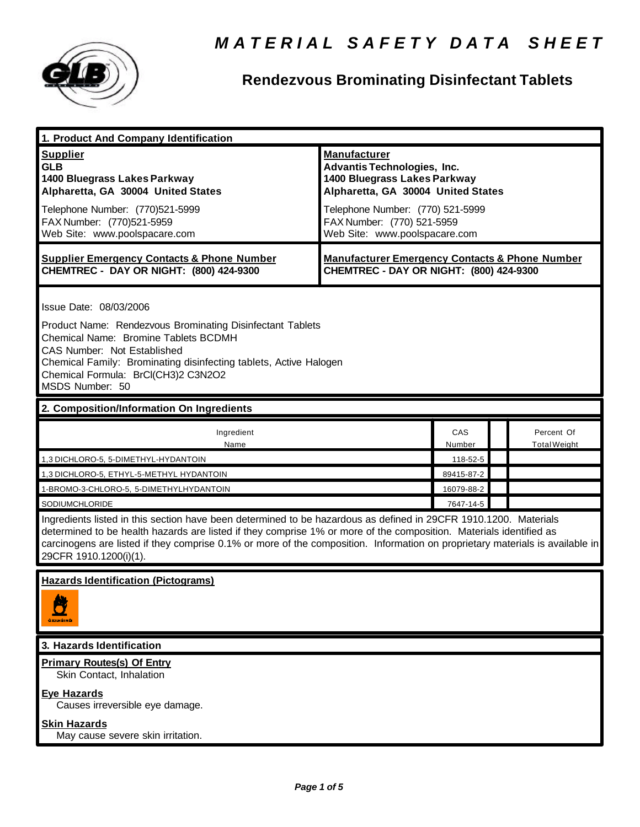

## **Rendezvous Brominating Disinfectant Tablets**

| 1. Product And Company Identification                                                                                                                                                                                                                                                                                                                                                             |                                                                                                                                                                                                                                    |               |  |                                   |  |
|---------------------------------------------------------------------------------------------------------------------------------------------------------------------------------------------------------------------------------------------------------------------------------------------------------------------------------------------------------------------------------------------------|------------------------------------------------------------------------------------------------------------------------------------------------------------------------------------------------------------------------------------|---------------|--|-----------------------------------|--|
| <b>Supplier</b><br><b>GLB</b><br>1400 Bluegrass Lakes Parkway<br>Alpharetta, GA 30004 United States<br>Telephone Number: (770)521-5999<br>FAX Number: (770)521-5959<br>Web Site: www.poolspacare.com                                                                                                                                                                                              | <b>Manufacturer</b><br><b>Advantis Technologies, Inc.</b><br>1400 Bluegrass Lakes Parkway<br>Alpharetta, GA 30004 United States<br>Telephone Number: (770) 521-5999<br>FAX Number: (770) 521-5959<br>Web Site: www.poolspacare.com |               |  |                                   |  |
| <b>Supplier Emergency Contacts &amp; Phone Number</b><br>CHEMTREC - DAY OR NIGHT: (800) 424-9300                                                                                                                                                                                                                                                                                                  | <b>Manufacturer Emergency Contacts &amp; Phone Number</b><br>CHEMTREC - DAY OR NIGHT: (800) 424-9300                                                                                                                               |               |  |                                   |  |
| Issue Date: 08/03/2006<br>Product Name: Rendezvous Brominating Disinfectant Tablets<br>Chemical Name: Bromine Tablets BCDMH<br><b>CAS Number: Not Established</b><br>Chemical Family: Brominating disinfecting tablets, Active Halogen<br>Chemical Formula: BrCl(CH3)2 C3N2O2<br>MSDS Number: 50                                                                                                  |                                                                                                                                                                                                                                    |               |  |                                   |  |
| 2. Composition/Information On Ingredients                                                                                                                                                                                                                                                                                                                                                         |                                                                                                                                                                                                                                    |               |  |                                   |  |
| Ingredient<br>Name                                                                                                                                                                                                                                                                                                                                                                                |                                                                                                                                                                                                                                    | CAS<br>Number |  | Percent Of<br><b>Total Weight</b> |  |
| 1,3 DICHLORO-5, 5-DIMETHYL-HYDANTOIN                                                                                                                                                                                                                                                                                                                                                              |                                                                                                                                                                                                                                    | 118-52-5      |  |                                   |  |
| 1,3 DICHLORO-5, ETHYL-5-METHYL HYDANTOIN                                                                                                                                                                                                                                                                                                                                                          |                                                                                                                                                                                                                                    | 89415-87-2    |  |                                   |  |
| 1-BROMO-3-CHLORO-5, 5-DIMETHYLHYDANTOIN                                                                                                                                                                                                                                                                                                                                                           |                                                                                                                                                                                                                                    | 16079-88-2    |  |                                   |  |
| SODIUMCHLORIDE                                                                                                                                                                                                                                                                                                                                                                                    |                                                                                                                                                                                                                                    | 7647-14-5     |  |                                   |  |
| Ingredients listed in this section have been determined to be hazardous as defined in 29CFR 1910.1200. Materials<br>determined to be health hazards are listed if they comprise 1% or more of the composition. Materials identified as<br>carcinogens are listed if they comprise 0.1% or more of the composition. Information on proprietary materials is available in<br>29CFR 1910.1200(i)(1). |                                                                                                                                                                                                                                    |               |  |                                   |  |
| <b>Hazards Identification (Pictograms)</b><br>axiusino                                                                                                                                                                                                                                                                                                                                            |                                                                                                                                                                                                                                    |               |  |                                   |  |
| 3. Hazards Identification                                                                                                                                                                                                                                                                                                                                                                         |                                                                                                                                                                                                                                    |               |  |                                   |  |
| <b>Primary Routes(s) Of Entry</b><br>Skin Contact, Inhalation                                                                                                                                                                                                                                                                                                                                     |                                                                                                                                                                                                                                    |               |  |                                   |  |
| <b>Eye Hazards</b><br>Causes irreversible eye damage.                                                                                                                                                                                                                                                                                                                                             |                                                                                                                                                                                                                                    |               |  |                                   |  |
| <b>Skin Hazards</b><br>May cause severe skin irritation.                                                                                                                                                                                                                                                                                                                                          |                                                                                                                                                                                                                                    |               |  |                                   |  |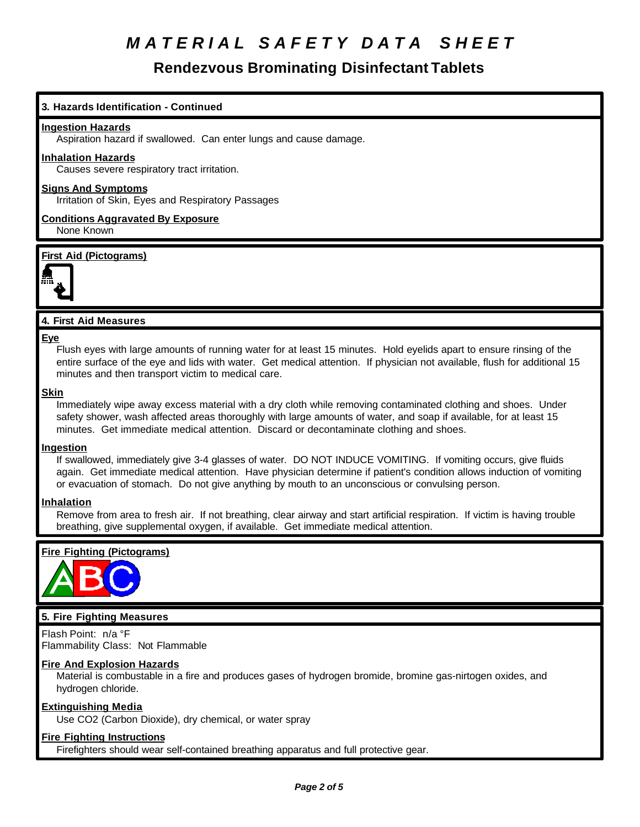## **Rendezvous Brominating Disinfectant Tablets**

## **3. Hazards Identification - Continued**

#### **Ingestion Hazards**

Aspiration hazard if swallowed. Can enter lungs and cause damage.

### **Inhalation Hazards**

Causes severe respiratory tract irritation.

## **Signs And Symptoms**

Irritation of Skin, Eyes and Respiratory Passages

**Conditions Aggravated By Exposure** None Known

### **First Aid (Pictograms)**



## **4. First Aid Measures**

#### **Eye**

Flush eyes with large amounts of running water for at least 15 minutes. Hold eyelids apart to ensure rinsing of the entire surface of the eye and lids with water. Get medical attention. If physician not available, flush for additional 15 minutes and then transport victim to medical care.

#### **Skin**

Immediately wipe away excess material with a dry cloth while removing contaminated clothing and shoes. Under safety shower, wash affected areas thoroughly with large amounts of water, and soap if available, for at least 15 minutes. Get immediate medical attention. Discard or decontaminate clothing and shoes.

### **Ingestion**

If swallowed, immediately give 3-4 glasses of water. DO NOT INDUCE VOMITING. If vomiting occurs, give fluids again. Get immediate medical attention. Have physician determine if patient's condition allows induction of vomiting or evacuation of stomach. Do not give anything by mouth to an unconscious or convulsing person.

### **Inhalation**

Remove from area to fresh air. If not breathing, clear airway and start artificial respiration. If victim is having trouble breathing, give supplemental oxygen, if available. Get immediate medical attention.

## **Fire Fighting (Pictograms)**



## **5. Fire Fighting Measures**

Flash Point: n/a °F Flammability Class: Not Flammable

### **Fire And Explosion Hazards**

Material is combustable in a fire and produces gases of hydrogen bromide, bromine gas-nirtogen oxides, and hydrogen chloride.

### **Extinguishing Media**

Use CO2 (Carbon Dioxide), dry chemical, or water spray

### **Fire Fighting Instructions**

Firefighters should wear self-contained breathing apparatus and full protective gear.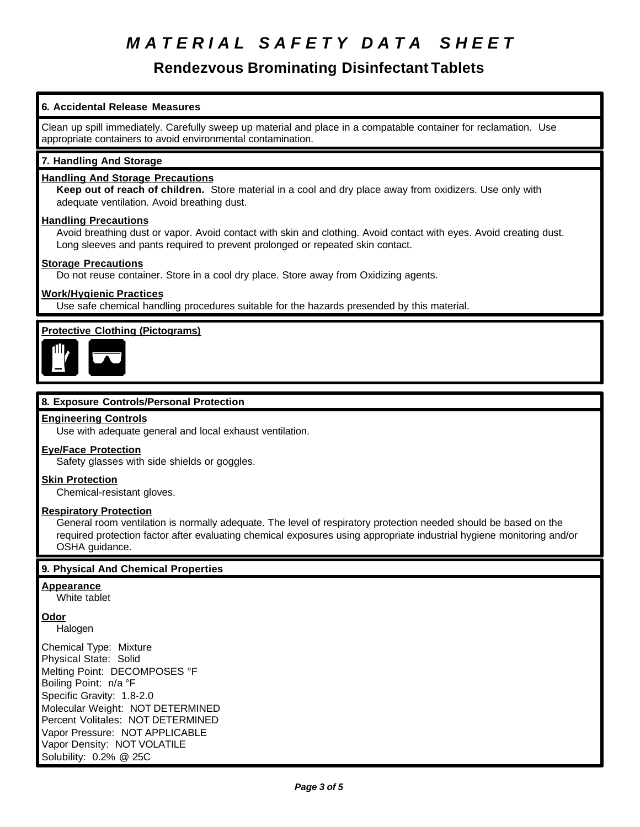## **Rendezvous Brominating Disinfectant Tablets**

## **6. Accidental Release Measures**

Clean up spill immediately. Carefully sweep up material and place in a compatable container for reclamation. Use appropriate containers to avoid environmental contamination.

## **7. Handling And Storage**

## **Handling And Storage Precautions**

**Keep out of reach of children.** Store material in a cool and dry place away from oxidizers. Use only with adequate ventilation. Avoid breathing dust.

### **Handling Precautions**

Avoid breathing dust or vapor. Avoid contact with skin and clothing. Avoid contact with eyes. Avoid creating dust. Long sleeves and pants required to prevent prolonged or repeated skin contact.

### **Storage Precautions**

Do not reuse container. Store in a cool dry place. Store away from Oxidizing agents.

## **Work/Hygienic Practices**

Use safe chemical handling procedures suitable for the hazards presended by this material.

## **Protective Clothing (Pictograms)**



## **8. Exposure Controls/Personal Protection**

### **Engineering Controls**

Use with adequate general and local exhaust ventilation.

### **Eye/Face Protection**

Safety glasses with side shields or goggles.

### **Skin Protection**

Chemical-resistant gloves.

### **Respiratory Protection**

General room ventilation is normally adequate. The level of respiratory protection needed should be based on the required protection factor after evaluating chemical exposures using appropriate industrial hygiene monitoring and/or OSHA guidance.

## **9. Physical And Chemical Properties**

## **Appearance**

White tablet

**Odor**

Halogen

Chemical Type: Mixture Physical State: Solid Melting Point: DECOMPOSES °F Boiling Point: n/a °F Specific Gravity: 1.8-2.0 Molecular Weight: NOT DETERMINED Percent Volitales: NOT DETERMINED Vapor Pressure: NOT APPLICABLE Vapor Density: NOT VOLATILE Solubility: 0.2% @ 25C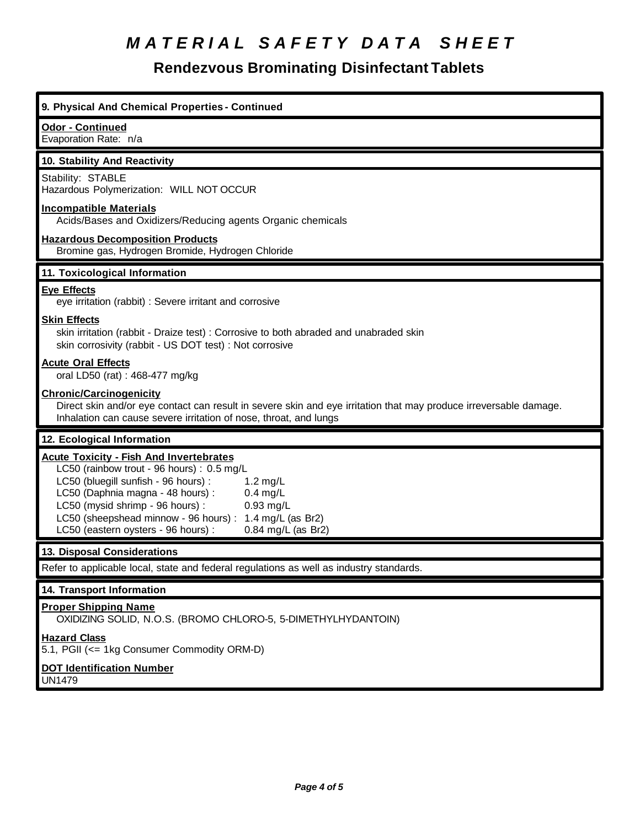## **Rendezvous Brominating Disinfectant Tablets**

| 9. Physical And Chemical Properties - Continued                                                                                                                                                                                                                                                                                                                                    |
|------------------------------------------------------------------------------------------------------------------------------------------------------------------------------------------------------------------------------------------------------------------------------------------------------------------------------------------------------------------------------------|
| Odor - Continued<br>Evaporation Rate: n/a                                                                                                                                                                                                                                                                                                                                          |
| 10. Stability And Reactivity                                                                                                                                                                                                                                                                                                                                                       |
| Stability: STABLE<br>Hazardous Polymerization: WILL NOT OCCUR                                                                                                                                                                                                                                                                                                                      |
| <b>Incompatible Materials</b><br>Acids/Bases and Oxidizers/Reducing agents Organic chemicals                                                                                                                                                                                                                                                                                       |
| <b>Hazardous Decomposition Products</b><br>Bromine gas, Hydrogen Bromide, Hydrogen Chloride                                                                                                                                                                                                                                                                                        |
| 11. Toxicological Information                                                                                                                                                                                                                                                                                                                                                      |
| <b>Eye Effects</b><br>eye irritation (rabbit) : Severe irritant and corrosive                                                                                                                                                                                                                                                                                                      |
| <b>Skin Effects</b><br>skin irritation (rabbit - Draize test) : Corrosive to both abraded and unabraded skin<br>skin corrosivity (rabbit - US DOT test) : Not corrosive                                                                                                                                                                                                            |
| <b>Acute Oral Effects</b><br>oral LD50 (rat) : 468-477 mg/kg                                                                                                                                                                                                                                                                                                                       |
| <b>Chronic/Carcinogenicity</b><br>Direct skin and/or eye contact can result in severe skin and eye irritation that may produce irreversable damage.<br>Inhalation can cause severe irritation of nose, throat, and lungs                                                                                                                                                           |
| 12. Ecological Information                                                                                                                                                                                                                                                                                                                                                         |
| <b>Acute Toxicity - Fish And Invertebrates</b><br>LC50 (rainbow trout - 96 hours) : 0.5 mg/L<br>LC50 (bluegill sunfish - 96 hours) :<br>$1.2$ mg/L<br>LC50 (Daphnia magna - 48 hours) :<br>$0.4$ mg/L<br>LC50 (mysid shrimp - 96 hours) :<br>$0.93$ mg/L<br>LC50 (sheepshead minnow - 96 hours):<br>1.4 mg/L (as Br2)<br>LC50 (eastern oysters - 96 hours) :<br>0.84 mg/L (as Br2) |
| 13. Disposal Considerations                                                                                                                                                                                                                                                                                                                                                        |
| Refer to applicable local, state and federal regulations as well as industry standards.                                                                                                                                                                                                                                                                                            |
| 14. Transport Information                                                                                                                                                                                                                                                                                                                                                          |
| <b>Proper Shipping Name</b><br>OXIDIZING SOLID, N.O.S. (BROMO CHLORO-5, 5-DIMETHYLHYDANTOIN)                                                                                                                                                                                                                                                                                       |
| <b>Hazard Class</b><br>5.1, PGII (<= 1kg Consumer Commodity ORM-D)                                                                                                                                                                                                                                                                                                                 |
| <b>DOT Identification Number</b><br>UN1479                                                                                                                                                                                                                                                                                                                                         |